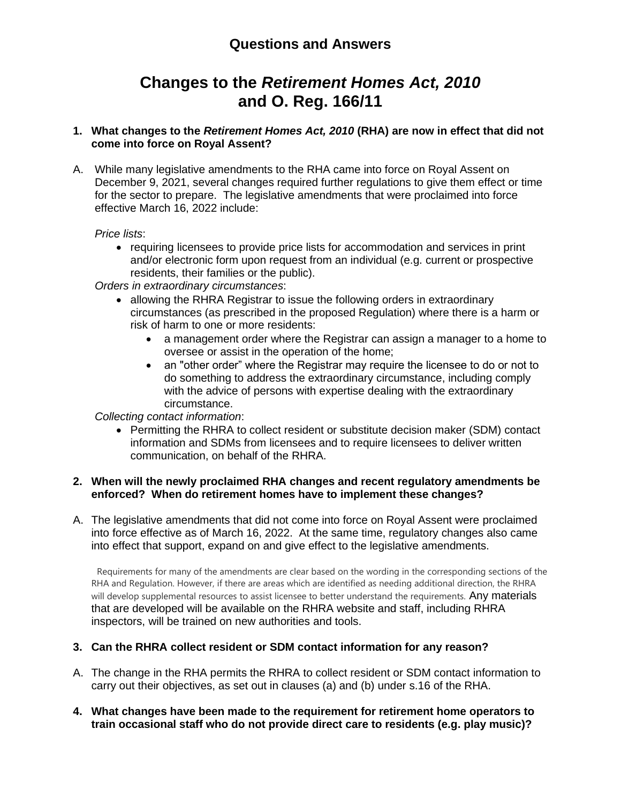# **Changes to the** *Retirement Homes Act, 2010* **and O. Reg. 166/11**

#### **1. What changes to the** *Retirement Homes Act, 2010* **(RHA) are now in effect that did not come into force on Royal Assent?**

A. While many legislative amendments to the RHA came into force on Royal Assent on December 9, 2021, several changes required further regulations to give them effect or time for the sector to prepare. The legislative amendments that were proclaimed into force effective March 16, 2022 include:

#### *Price lists*:

• requiring licensees to provide price lists for accommodation and services in print and/or electronic form upon request from an individual (e.g. current or prospective residents, their families or the public).

*Orders in extraordinary circumstances*:

- allowing the RHRA Registrar to issue the following orders in extraordinary circumstances (as prescribed in the proposed Regulation) where there is a harm or risk of harm to one or more residents:
	- a management order where the Registrar can assign a manager to a home to oversee or assist in the operation of the home;
	- an "other order" where the Registrar may require the licensee to do or not to do something to address the extraordinary circumstance, including comply with the advice of persons with expertise dealing with the extraordinary circumstance.

*Collecting contact information*:

• Permitting the RHRA to collect resident or substitute decision maker (SDM) contact information and SDMs from licensees and to require licensees to deliver written communication, on behalf of the RHRA.

#### **2. When will the newly proclaimed RHA changes and recent regulatory amendments be enforced? When do retirement homes have to implement these changes?**

A. The legislative amendments that did not come into force on Royal Assent were proclaimed into force effective as of March 16, 2022. At the same time, regulatory changes also came into effect that support, expand on and give effect to the legislative amendments.

Requirements for many of the amendments are clear based on the wording in the corresponding sections of the RHA and Regulation. However, if there are areas which are identified as needing additional direction, the RHRA will develop supplemental resources to assist licensee to better understand the requirements. Any materials that are developed will be available on the RHRA website and staff, including RHRA inspectors, will be trained on new authorities and tools.

# **3. Can the RHRA collect resident or SDM contact information for any reason?**

- A. The change in the RHA permits the RHRA to collect resident or SDM contact information to carry out their objectives, as set out in clauses (a) and (b) under s.16 of the RHA.
- **4. What changes have been made to the requirement for retirement home operators to train occasional staff who do not provide direct care to residents (e.g. play music)?**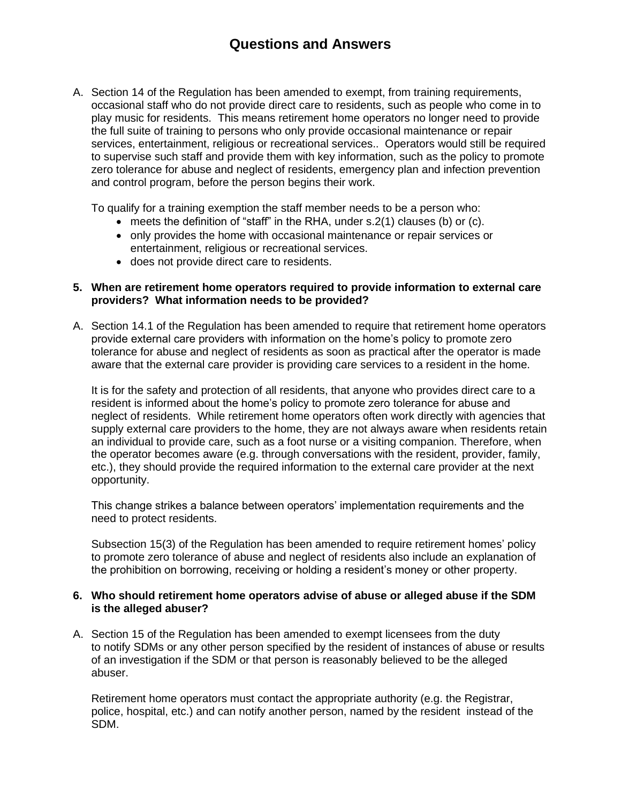A. Section 14 of the Regulation has been amended to exempt, from training requirements, occasional staff who do not provide direct care to residents, such as people who come in to play music for residents. This means retirement home operators no longer need to provide the full suite of training to persons who only provide occasional maintenance or repair services, entertainment, religious or recreational services.. Operators would still be required to supervise such staff and provide them with key information, such as the policy to promote zero tolerance for abuse and neglect of residents, emergency plan and infection prevention and control program, before the person begins their work.

To qualify for a training exemption the staff member needs to be a person who:

- meets the definition of "staff" in the RHA, under s.2(1) clauses (b) or (c).
- only provides the home with occasional maintenance or repair services or entertainment, religious or recreational services.
- does not provide direct care to residents.

#### **5. When are retirement home operators required to provide information to external care providers? What information needs to be provided?**

A. Section 14.1 of the Regulation has been amended to require that retirement home operators provide external care providers with information on the home's policy to promote zero tolerance for abuse and neglect of residents as soon as practical after the operator is made aware that the external care provider is providing care services to a resident in the home.

It is for the safety and protection of all residents, that anyone who provides direct care to a resident is informed about the home's policy to promote zero tolerance for abuse and neglect of residents. While retirement home operators often work directly with agencies that supply external care providers to the home, they are not always aware when residents retain an individual to provide care, such as a foot nurse or a visiting companion. Therefore, when the operator becomes aware (e.g. through conversations with the resident, provider, family, etc.), they should provide the required information to the external care provider at the next opportunity.

This change strikes a balance between operators' implementation requirements and the need to protect residents.

Subsection 15(3) of the Regulation has been amended to require retirement homes' policy to promote zero tolerance of abuse and neglect of residents also include an explanation of the prohibition on borrowing, receiving or holding a resident's money or other property.

#### **6. Who should retirement home operators advise of abuse or alleged abuse if the SDM is the alleged abuser?**

A. Section 15 of the Regulation has been amended to exempt licensees from the duty to notify SDMs or any other person specified by the resident of instances of abuse or results of an investigation if the SDM or that person is reasonably believed to be the alleged abuser.

Retirement home operators must contact the appropriate authority (e.g. the Registrar, police, hospital, etc.) and can notify another person, named by the resident instead of the SDM.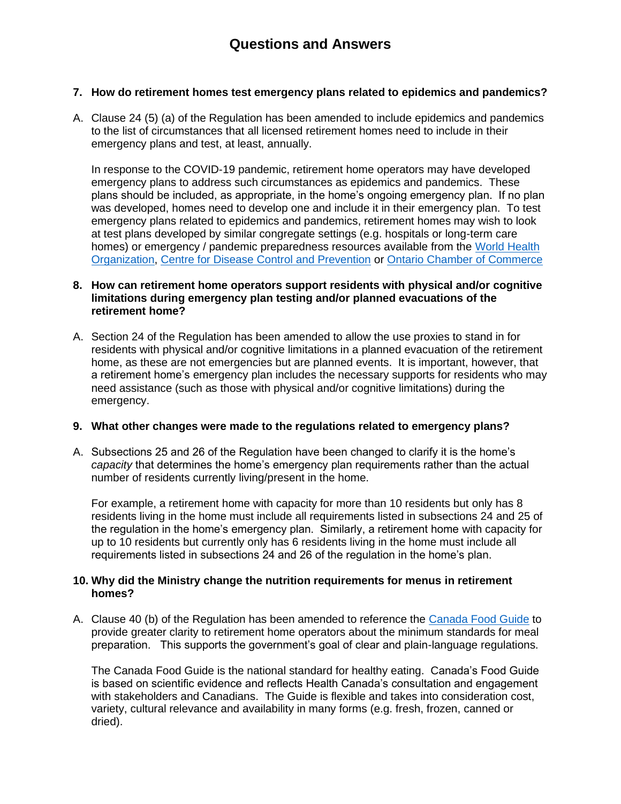## **7. How do retirement homes test emergency plans related to epidemics and pandemics?**

A. Clause 24 (5) (a) of the Regulation has been amended to include epidemics and pandemics to the list of circumstances that all licensed retirement homes need to include in their emergency plans and test, at least, annually.

In response to the COVID-19 pandemic, retirement home operators may have developed emergency plans to address such circumstances as epidemics and pandemics. These plans should be included, as appropriate, in the home's ongoing emergency plan. If no plan was developed, homes need to develop one and include it in their emergency plan. To test emergency plans related to epidemics and pandemics, retirement homes may wish to look at test plans developed by similar congregate settings (e.g. hospitals or long-term care homes) or emergency / pandemic preparedness resources available from the [World Health](https://www.who.int/)  [Organization,](https://www.who.int/) [Centre for Disease Control and Prevention](https://www.cdc.gov/) or [Ontario Chamber of Commerce](https://occ.ca/)

#### **8. How can retirement home operators support residents with physical and/or cognitive limitations during emergency plan testing and/or planned evacuations of the retirement home?**

A. Section 24 of the Regulation has been amended to allow the use proxies to stand in for residents with physical and/or cognitive limitations in a planned evacuation of the retirement home, as these are not emergencies but are planned events. It is important, however, that a retirement home's emergency plan includes the necessary supports for residents who may need assistance (such as those with physical and/or cognitive limitations) during the emergency.

#### **9. What other changes were made to the regulations related to emergency plans?**

A. Subsections 25 and 26 of the Regulation have been changed to clarify it is the home's *capacity* that determines the home's emergency plan requirements rather than the actual number of residents currently living/present in the home.

For example, a retirement home with capacity for more than 10 residents but only has 8 residents living in the home must include all requirements listed in subsections 24 and 25 of the regulation in the home's emergency plan. Similarly, a retirement home with capacity for up to 10 residents but currently only has 6 residents living in the home must include all requirements listed in subsections 24 and 26 of the regulation in the home's plan.

#### **10. Why did the Ministry change the nutrition requirements for menus in retirement homes?**

A. Clause 40 (b) of the Regulation has been amended to reference the [Canada Food Guide](https://food-guide.canada.ca/en/) to provide greater clarity to retirement home operators about the minimum standards for meal preparation. This supports the government's goal of clear and plain-language regulations.

The Canada Food Guide is the national standard for healthy eating. Canada's Food Guide is based on scientific evidence and reflects Health Canada's consultation and engagement with stakeholders and Canadians. The Guide is flexible and takes into consideration cost, variety, cultural relevance and availability in many forms (e.g. fresh, frozen, canned or dried).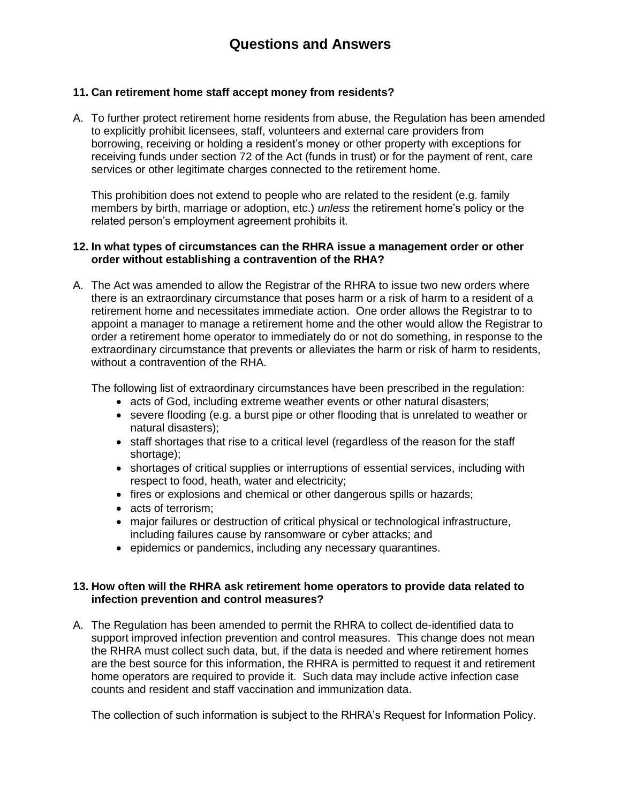## **11. Can retirement home staff accept money from residents?**

A. To further protect retirement home residents from abuse, the Regulation has been amended to explicitly prohibit licensees, staff, volunteers and external care providers from borrowing, receiving or holding a resident's money or other property with exceptions for receiving funds under section 72 of the Act (funds in trust) or for the payment of rent, care services or other legitimate charges connected to the retirement home.

This prohibition does not extend to people who are related to the resident (e.g. family members by birth, marriage or adoption, etc.) *unless* the retirement home's policy or the related person's employment agreement prohibits it.

#### **12. In what types of circumstances can the RHRA issue a management order or other order without establishing a contravention of the RHA?**

A. The Act was amended to allow the Registrar of the RHRA to issue two new orders where there is an extraordinary circumstance that poses harm or a risk of harm to a resident of a retirement home and necessitates immediate action. One order allows the Registrar to to appoint a manager to manage a retirement home and the other would allow the Registrar to order a retirement home operator to immediately do or not do something, in response to the extraordinary circumstance that prevents or alleviates the harm or risk of harm to residents, without a contravention of the RHA.

The following list of extraordinary circumstances have been prescribed in the regulation:

- acts of God, including extreme weather events or other natural disasters;
- severe flooding (e.g. a burst pipe or other flooding that is unrelated to weather or natural disasters);
- staff shortages that rise to a critical level (regardless of the reason for the staff shortage);
- shortages of critical supplies or interruptions of essential services, including with respect to food, heath, water and electricity;
- fires or explosions and chemical or other dangerous spills or hazards;
- acts of terrorism;
- major failures or destruction of critical physical or technological infrastructure, including failures cause by ransomware or cyber attacks; and
- epidemics or pandemics, including any necessary quarantines.

#### **13. How often will the RHRA ask retirement home operators to provide data related to infection prevention and control measures?**

A. The Regulation has been amended to permit the RHRA to collect de-identified data to support improved infection prevention and control measures. This change does not mean the RHRA must collect such data, but, if the data is needed and where retirement homes are the best source for this information, the RHRA is permitted to request it and retirement home operators are required to provide it. Such data may include active infection case counts and resident and staff vaccination and immunization data.

The collection of such information is subject to the RHRA's Request for Information Policy.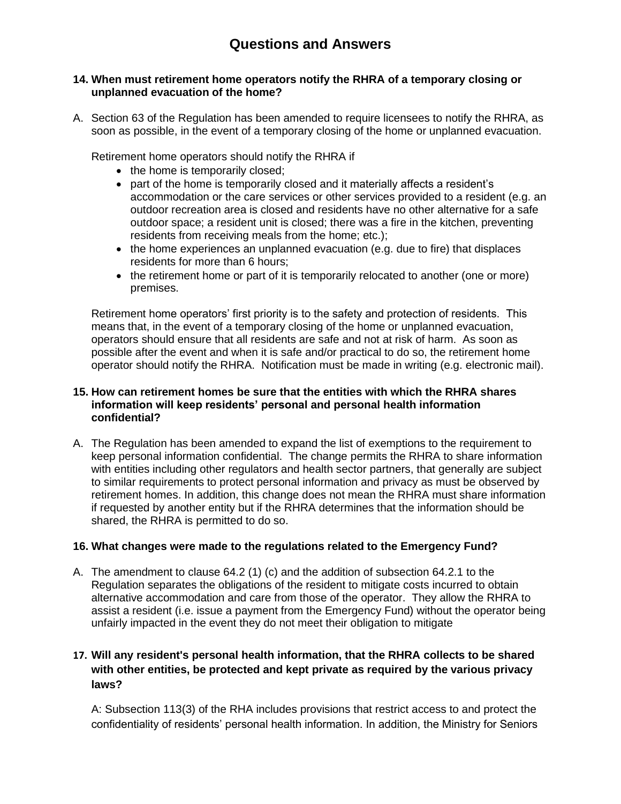#### **14. When must retirement home operators notify the RHRA of a temporary closing or unplanned evacuation of the home?**

A. Section 63 of the Regulation has been amended to require licensees to notify the RHRA, as soon as possible, in the event of a temporary closing of the home or unplanned evacuation.

Retirement home operators should notify the RHRA if

- the home is temporarily closed;
- part of the home is temporarily closed and it materially affects a resident's accommodation or the care services or other services provided to a resident (e.g. an outdoor recreation area is closed and residents have no other alternative for a safe outdoor space; a resident unit is closed; there was a fire in the kitchen, preventing residents from receiving meals from the home; etc.);
- the home experiences an unplanned evacuation (e.g. due to fire) that displaces residents for more than 6 hours;
- the retirement home or part of it is temporarily relocated to another (one or more) premises.

Retirement home operators' first priority is to the safety and protection of residents. This means that, in the event of a temporary closing of the home or unplanned evacuation, operators should ensure that all residents are safe and not at risk of harm. As soon as possible after the event and when it is safe and/or practical to do so, the retirement home operator should notify the RHRA. Notification must be made in writing (e.g. electronic mail).

#### **15. How can retirement homes be sure that the entities with which the RHRA shares information will keep residents' personal and personal health information confidential?**

A. The Regulation has been amended to expand the list of exemptions to the requirement to keep personal information confidential. The change permits the RHRA to share information with entities including other regulators and health sector partners, that generally are subject to similar requirements to protect personal information and privacy as must be observed by retirement homes. In addition, this change does not mean the RHRA must share information if requested by another entity but if the RHRA determines that the information should be shared, the RHRA is permitted to do so.

#### **16. What changes were made to the regulations related to the Emergency Fund?**

A. The amendment to clause 64.2 (1) (c) and the addition of subsection 64.2.1 to the Regulation separates the obligations of the resident to mitigate costs incurred to obtain alternative accommodation and care from those of the operator. They allow the RHRA to assist a resident (i.e. issue a payment from the Emergency Fund) without the operator being unfairly impacted in the event they do not meet their obligation to mitigate

# **17. Will any resident's personal health information, that the RHRA collects to be shared with other entities, be protected and kept private as required by the various privacy laws?**

A: Subsection 113(3) of the RHA includes provisions that restrict access to and protect the confidentiality of residents' personal health information. In addition, the Ministry for Seniors